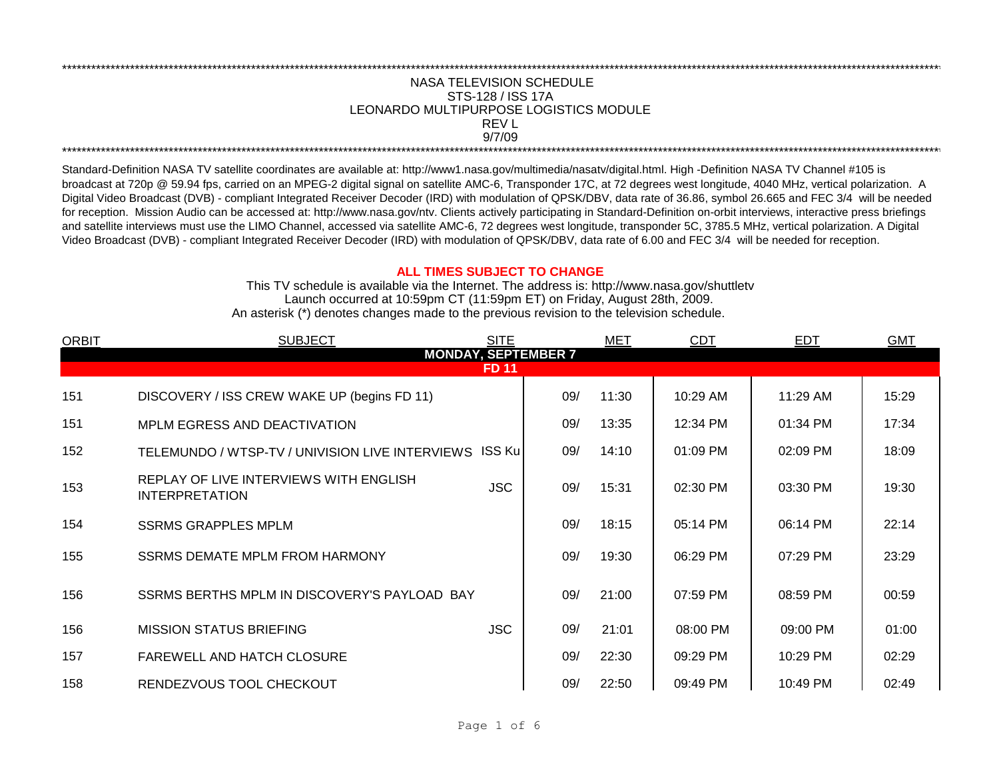## LEONARDO MULTIPURPOSE LOGISTICS MODULE NASA TELEVISION SCHEDULE STS-128 / ISS 17A 9/7/09 \*\*\*\*\*\*\*\*\*\*\*\*\*\*\*\*\*\*\*\*\*\*\*\*\*\*\*\*\*\*\*\*\*\*\*\*\*\*\*\*\*\*\*\*\*\*\*\*\*\*\*\*\*\*\*\*\*\*\*\*\*\*\*\*\*\*\*\*\*\*\*\*\*\*\*\*\*\*\*\*\*\*\*\*\*\*\*\*\*\*\*\*\*\*\*\*\*\*\*\*\*\*\*\*\*\*\*\*\*\*\*\*\*\*\*\*\*\*\*\*\*\*\*\*\*\*\*\*\*\*\*\*\*\*\*\*\*\*\*\*\*\*\*\*\*\*\*\*\*\*\*\*\*\*\*\*\*\*\*\*\*\*\*\*\*\*\*\*\*\*\*\*\*\*\*\*\*\*\*\*\*\*\*\*\* REV L

\*\*\*\*\*\*\*\*\*\*\*\*\*\*\*\*\*\*\*\*\*\*\*\*\*\*\*\*\*\*\*\*\*\*\*\*\*\*\*\*\*\*\*\*\*\*\*\*\*\*\*\*\*\*\*\*\*\*\*\*\*\*\*\*\*\*\*\*\*\*\*\*\*\*\*\*\*\*\*\*\*\*\*\*\*\*\*\*\*\*\*\*\*\*\*\*\*\*\*\*\*\*\*\*\*\*\*\*\*\*\*\*\*\*\*\*\*\*\*\*\*\*\*\*\*\*\*\*\*\*\*\*\*\*\*\*\*\*\*\*\*\*\*\*\*\*\*\*\*\*\*\*\*\*\*\*\*\*\*\*\*\*\*\*\*\*\*\*\*\*\*\*\*\*\*\*\*\*\*\*\*\*\*\*\*

Standard-Definition NASA TV satellite coordinates are available at: http://www1.nasa.gov/multimedia/nasatv/digital.html. High -Definition NASA TV Channel #105 is broadcast at 720p @ 59.94 fps, carried on an MPEG-2 digital signal on satellite AMC-6, Transponder 17C, at 72 degrees west longitude, 4040 MHz, vertical polarization. A Digital Video Broadcast (DVB) - compliant Integrated Receiver Decoder (IRD) with modulation of QPSK/DBV, data rate of 36.86, symbol 26.665 and FEC 3/4 will be needed for reception. Mission Audio can be accessed at: http://www.nasa.gov/ntv. Clients actively participating in Standard-Definition on-orbit interviews, interactive press briefings and satellite interviews must use the LIMO Channel, accessed via satellite AMC-6, 72 degrees west longitude, transponder 5C, 3785.5 MHz, vertical polarization. A Digital Video Broadcast (DVB) - compliant Integrated Receiver Decoder (IRD) with modulation of QPSK/DBV, data rate of 6.00 and FEC 3/4 will be needed for reception.

## **ALL TIMES SUBJECT TO CHANGE**

Launch occurred at 10:59pm CT (11:59pm ET) on Friday, August 28th, 2009. An asterisk (\*) denotes changes made to the previous revision to the television schedule. This TV schedule is available via the Internet. The address is: http://www.nasa.gov/shuttletv

| <b>ORBIT</b>               | <b>SUBJECT</b>                                                  | <b>SITE</b> |     | MET   | <b>CDT</b> | <b>EDT</b> | <b>GMT</b> |  |  |  |  |
|----------------------------|-----------------------------------------------------------------|-------------|-----|-------|------------|------------|------------|--|--|--|--|
| <b>MONDAY, SEPTEMBER 7</b> |                                                                 |             |     |       |            |            |            |  |  |  |  |
| <b>FD 11</b>               |                                                                 |             |     |       |            |            |            |  |  |  |  |
| 151                        | DISCOVERY / ISS CREW WAKE UP (begins FD 11)                     |             | 09/ | 11:30 | 10:29 AM   | 11:29 AM   | 15:29      |  |  |  |  |
| 151                        | MPLM EGRESS AND DEACTIVATION                                    |             | 09/ | 13:35 | 12:34 PM   | 01:34 PM   | 17:34      |  |  |  |  |
| 152                        | TELEMUNDO / WTSP-TV / UNIVISION LIVE INTERVIEWS ISS Ku          |             | 09/ | 14:10 | 01:09 PM   | 02:09 PM   | 18:09      |  |  |  |  |
| 153                        | REPLAY OF LIVE INTERVIEWS WITH ENGLISH<br><b>INTERPRETATION</b> | <b>JSC</b>  | 09/ | 15:31 | 02:30 PM   | 03:30 PM   | 19:30      |  |  |  |  |
| 154                        | <b>SSRMS GRAPPLES MPLM</b>                                      |             | 09/ | 18:15 | 05:14 PM   | 06:14 PM   | 22:14      |  |  |  |  |
| 155                        | SSRMS DEMATE MPLM FROM HARMONY                                  |             | 09/ | 19:30 | 06:29 PM   | 07:29 PM   | 23:29      |  |  |  |  |
| 156                        | SSRMS BERTHS MPLM IN DISCOVERY'S PAYLOAD BAY                    |             | 09/ | 21:00 | 07:59 PM   | 08:59 PM   | 00:59      |  |  |  |  |
| 156                        | <b>MISSION STATUS BRIEFING</b>                                  | <b>JSC</b>  | 09/ | 21:01 | 08:00 PM   | 09:00 PM   | 01:00      |  |  |  |  |
| 157                        | <b>FAREWELL AND HATCH CLOSURE</b>                               |             | 09/ | 22:30 | 09:29 PM   | 10:29 PM   | 02:29      |  |  |  |  |
| 158                        | RENDEZVOUS TOOL CHECKOUT                                        |             | 09/ | 22:50 | 09:49 PM   | 10:49 PM   | 02:49      |  |  |  |  |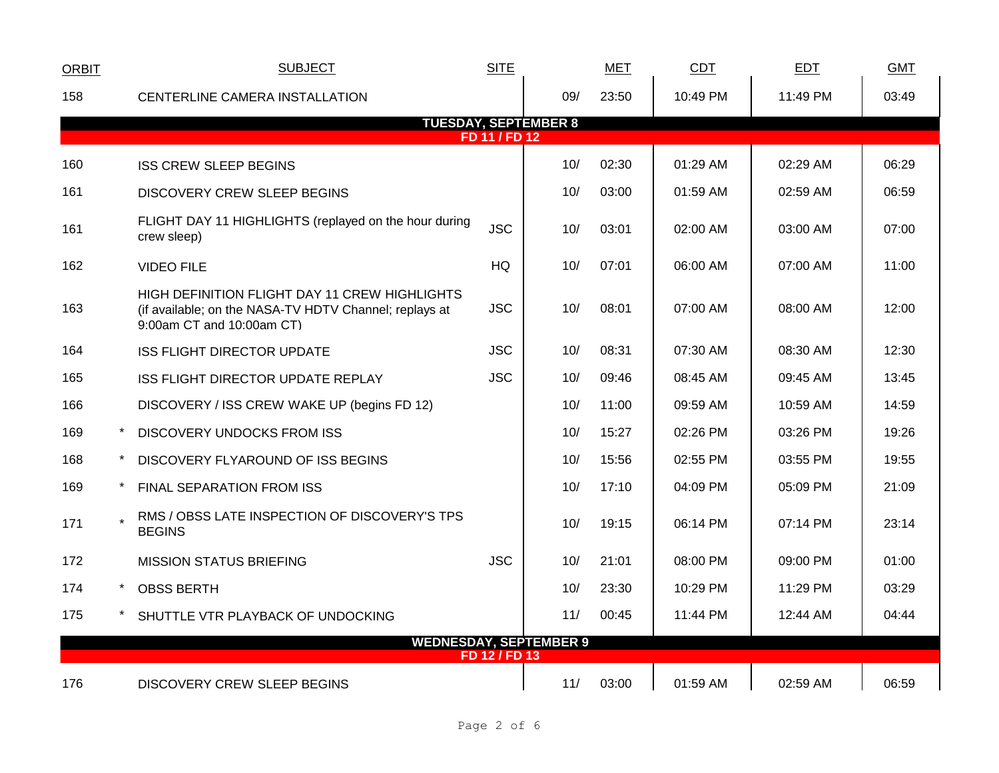| <b>ORBIT</b>                                 |  | <b>SUBJECT</b>                                                                                                                       | <b>SITE</b>   |     | <b>MET</b> | <b>CDT</b> | <b>EDT</b> | <b>GMT</b> |
|----------------------------------------------|--|--------------------------------------------------------------------------------------------------------------------------------------|---------------|-----|------------|------------|------------|------------|
| 158                                          |  | CENTERLINE CAMERA INSTALLATION                                                                                                       |               | 09/ | 23:50      | 10:49 PM   | 11:49 PM   | 03:49      |
| <b>TUESDAY, SEPTEMBER 8</b><br>FD 11 / FD 12 |  |                                                                                                                                      |               |     |            |            |            |            |
| 160                                          |  | <b>ISS CREW SLEEP BEGINS</b>                                                                                                         |               | 10/ | 02:30      | 01:29 AM   | 02:29 AM   | 06:29      |
| 161                                          |  | <b>DISCOVERY CREW SLEEP BEGINS</b>                                                                                                   |               | 10/ | 03:00      | 01:59 AM   | 02:59 AM   | 06:59      |
| 161                                          |  | FLIGHT DAY 11 HIGHLIGHTS (replayed on the hour during<br>crew sleep)                                                                 | <b>JSC</b>    | 10/ | 03:01      | 02:00 AM   | 03:00 AM   | 07:00      |
| 162                                          |  | <b>VIDEO FILE</b>                                                                                                                    | HQ            | 10/ | 07:01      | 06:00 AM   | 07:00 AM   | 11:00      |
| 163                                          |  | HIGH DEFINITION FLIGHT DAY 11 CREW HIGHLIGHTS<br>(if available; on the NASA-TV HDTV Channel; replays at<br>9:00am CT and 10:00am CT) | <b>JSC</b>    | 10/ | 08:01      | 07:00 AM   | 08:00 AM   | 12:00      |
| 164                                          |  | <b>ISS FLIGHT DIRECTOR UPDATE</b>                                                                                                    | <b>JSC</b>    | 10/ | 08:31      | 07:30 AM   | 08:30 AM   | 12:30      |
| 165                                          |  | ISS FLIGHT DIRECTOR UPDATE REPLAY                                                                                                    | <b>JSC</b>    | 10/ | 09:46      | 08:45 AM   | 09:45 AM   | 13:45      |
| 166                                          |  | DISCOVERY / ISS CREW WAKE UP (begins FD 12)                                                                                          |               | 10/ | 11:00      | 09:59 AM   | 10:59 AM   | 14:59      |
| 169                                          |  | <b>DISCOVERY UNDOCKS FROM ISS</b>                                                                                                    |               | 10/ | 15:27      | 02:26 PM   | 03:26 PM   | 19:26      |
| 168                                          |  | DISCOVERY FLYAROUND OF ISS BEGINS                                                                                                    |               | 10/ | 15:56      | 02:55 PM   | 03:55 PM   | 19:55      |
| 169                                          |  | <b>FINAL SEPARATION FROM ISS</b>                                                                                                     |               | 10/ | 17:10      | 04:09 PM   | 05:09 PM   | 21:09      |
| 171                                          |  | RMS / OBSS LATE INSPECTION OF DISCOVERY'S TPS<br><b>BEGINS</b>                                                                       |               | 10/ | 19:15      | 06:14 PM   | 07:14 PM   | 23:14      |
| 172                                          |  | <b>MISSION STATUS BRIEFING</b>                                                                                                       | <b>JSC</b>    | 10/ | 21:01      | 08:00 PM   | 09:00 PM   | 01:00      |
| 174                                          |  | <b>OBSS BERTH</b>                                                                                                                    |               | 10/ | 23:30      | 10:29 PM   | 11:29 PM   | 03:29      |
| 175                                          |  | SHUTTLE VTR PLAYBACK OF UNDOCKING                                                                                                    |               | 11/ | 00:45      | 11:44 PM   | 12:44 AM   | 04:44      |
|                                              |  | <b>WEDNESDAY, SEPTEMBER 9</b>                                                                                                        | FD 12 / FD 13 |     |            |            |            |            |
| 176                                          |  | <b>DISCOVERY CREW SLEEP BEGINS</b>                                                                                                   |               | 11/ | 03:00      | 01:59 AM   | 02:59 AM   | 06:59      |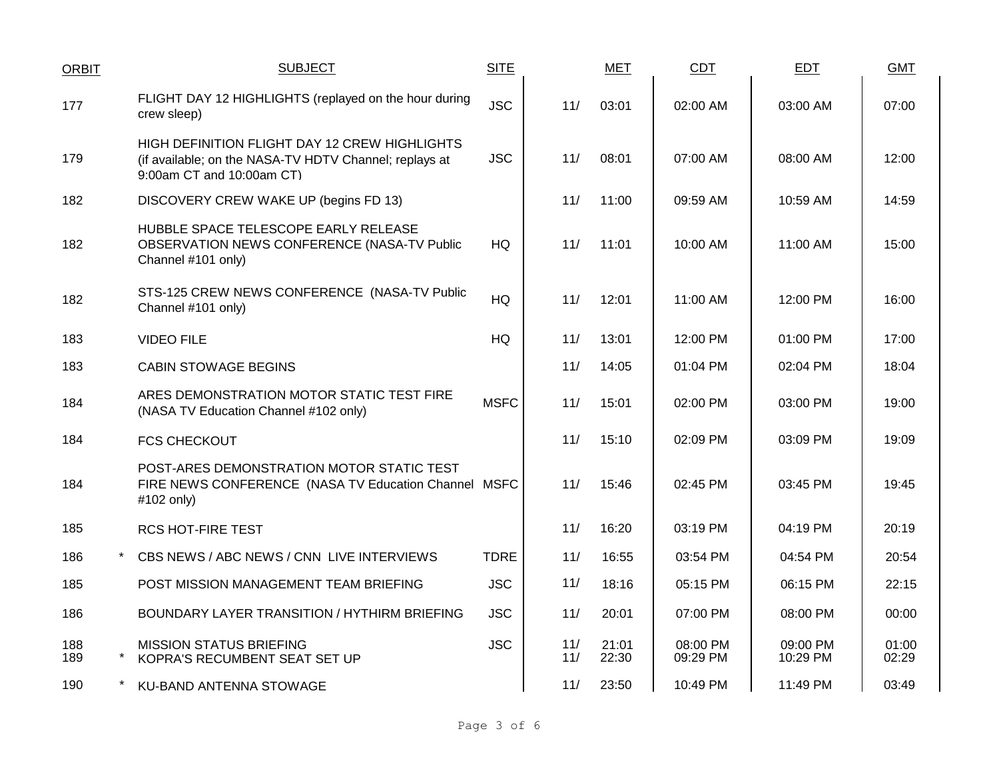| <b>ORBIT</b> | <b>SUBJECT</b>                                                                                                                       | <b>SITE</b> |            | <b>MET</b>     | <b>CDT</b>           | <b>EDT</b>           | <b>GMT</b>     |
|--------------|--------------------------------------------------------------------------------------------------------------------------------------|-------------|------------|----------------|----------------------|----------------------|----------------|
| 177          | FLIGHT DAY 12 HIGHLIGHTS (replayed on the hour during<br>crew sleep)                                                                 | <b>JSC</b>  | 11/        | 03:01          | 02:00 AM             | 03:00 AM             | 07:00          |
| 179          | HIGH DEFINITION FLIGHT DAY 12 CREW HIGHLIGHTS<br>(if available; on the NASA-TV HDTV Channel; replays at<br>9:00am CT and 10:00am CT) | <b>JSC</b>  | 11/        | 08:01          | 07:00 AM             | 08:00 AM             | 12:00          |
| 182          | DISCOVERY CREW WAKE UP (begins FD 13)                                                                                                |             | 11/        | 11:00          | 09:59 AM             | 10:59 AM             | 14:59          |
| 182          | HUBBLE SPACE TELESCOPE EARLY RELEASE<br>OBSERVATION NEWS CONFERENCE (NASA-TV Public<br>Channel #101 only)                            | HQ          | 11/        | 11:01          | 10:00 AM             | 11:00 AM             | 15:00          |
| 182          | STS-125 CREW NEWS CONFERENCE (NASA-TV Public<br>Channel #101 only)                                                                   | <b>HQ</b>   | 11/        | 12:01          | 11:00 AM             | 12:00 PM             | 16:00          |
| 183          | <b>VIDEO FILE</b>                                                                                                                    | HQ.         | 11/        | 13:01          | 12:00 PM             | 01:00 PM             | 17:00          |
| 183          | <b>CABIN STOWAGE BEGINS</b>                                                                                                          |             | 11/        | 14:05          | 01:04 PM             | 02:04 PM             | 18:04          |
| 184          | ARES DEMONSTRATION MOTOR STATIC TEST FIRE<br>(NASA TV Education Channel #102 only)                                                   | <b>MSFC</b> | 11/        | 15:01          | 02:00 PM             | 03:00 PM             | 19:00          |
| 184          | <b>FCS CHECKOUT</b>                                                                                                                  |             | 11/        | 15:10          | 02:09 PM             | 03:09 PM             | 19:09          |
| 184          | POST-ARES DEMONSTRATION MOTOR STATIC TEST<br>FIRE NEWS CONFERENCE (NASA TV Education Channel MSFC<br>#102 only)                      |             | 11/        | 15:46          | 02:45 PM             | 03:45 PM             | 19:45          |
| 185          | <b>RCS HOT-FIRE TEST</b>                                                                                                             |             | 11/        | 16:20          | 03:19 PM             | 04:19 PM             | 20:19          |
| 186          | $\star$<br>CBS NEWS / ABC NEWS / CNN LIVE INTERVIEWS                                                                                 | <b>TDRE</b> | 11/        | 16:55          | 03:54 PM             | 04:54 PM             | 20:54          |
| 185          | POST MISSION MANAGEMENT TEAM BRIEFING                                                                                                | <b>JSC</b>  | 11/        | 18:16          | 05:15 PM             | 06:15 PM             | 22:15          |
| 186          | BOUNDARY LAYER TRANSITION / HYTHIRM BRIEFING                                                                                         | <b>JSC</b>  | 11/        | 20:01          | 07:00 PM             | 08:00 PM             | 00:00          |
| 188<br>189   | <b>MISSION STATUS BRIEFING</b><br>KOPRA'S RECUMBENT SEAT SET UP                                                                      | <b>JSC</b>  | 11/<br>11/ | 21:01<br>22:30 | 08:00 PM<br>09:29 PM | 09:00 PM<br>10:29 PM | 01:00<br>02:29 |
| 190          | KU-BAND ANTENNA STOWAGE                                                                                                              |             | 11/        | 23:50          | 10:49 PM             | 11:49 PM             | 03:49          |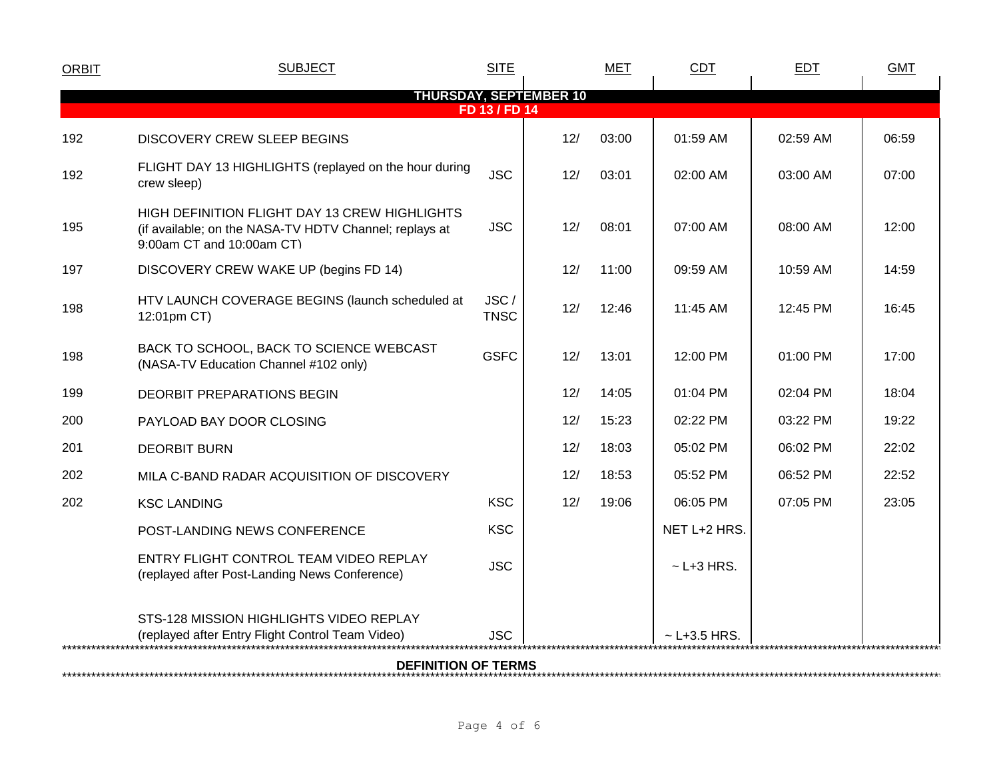| <b>ORBIT</b>                  | <b>SUBJECT</b>                                                                                                                       | <b>SITE</b>         |     | <b>MET</b> | <b>CDT</b>        | <b>EDT</b> | <b>GMT</b> |  |  |
|-------------------------------|--------------------------------------------------------------------------------------------------------------------------------------|---------------------|-----|------------|-------------------|------------|------------|--|--|
| <b>THURSDAY, SEPTEMBER 10</b> |                                                                                                                                      |                     |     |            |                   |            |            |  |  |
| FD 13 / FD 14                 |                                                                                                                                      |                     |     |            |                   |            |            |  |  |
| 192                           | <b>DISCOVERY CREW SLEEP BEGINS</b>                                                                                                   |                     | 12/ | 03:00      | 01:59 AM          | 02:59 AM   | 06:59      |  |  |
| 192                           | FLIGHT DAY 13 HIGHLIGHTS (replayed on the hour during<br>crew sleep)                                                                 | <b>JSC</b>          | 12/ | 03:01      | 02:00 AM          | 03:00 AM   | 07:00      |  |  |
| 195                           | HIGH DEFINITION FLIGHT DAY 13 CREW HIGHLIGHTS<br>(if available; on the NASA-TV HDTV Channel; replays at<br>9:00am CT and 10:00am CT) | <b>JSC</b>          | 12/ | 08:01      | 07:00 AM          | 08:00 AM   | 12:00      |  |  |
| 197                           | DISCOVERY CREW WAKE UP (begins FD 14)                                                                                                |                     | 12/ | 11:00      | 09:59 AM          | 10:59 AM   | 14:59      |  |  |
| 198                           | HTV LAUNCH COVERAGE BEGINS (launch scheduled at<br>12:01pm CT)                                                                       | JSC/<br><b>TNSC</b> | 12/ | 12:46      | 11:45 AM          | 12:45 PM   | 16:45      |  |  |
| 198                           | BACK TO SCHOOL, BACK TO SCIENCE WEBCAST<br>(NASA-TV Education Channel #102 only)                                                     | <b>GSFC</b>         | 12/ | 13:01      | 12:00 PM          | $01:00$ PM | 17:00      |  |  |
| 199                           | DEORBIT PREPARATIONS BEGIN                                                                                                           |                     | 12/ | 14:05      | 01:04 PM          | 02:04 PM   | 18:04      |  |  |
| 200                           | PAYLOAD BAY DOOR CLOSING                                                                                                             |                     | 12/ | 15:23      | 02:22 PM          | 03:22 PM   | 19:22      |  |  |
| 201                           | <b>DEORBIT BURN</b>                                                                                                                  |                     | 12/ | 18:03      | 05:02 PM          | 06:02 PM   | 22:02      |  |  |
| 202                           | MILA C-BAND RADAR ACQUISITION OF DISCOVERY                                                                                           |                     | 12/ | 18:53      | 05:52 PM          | 06:52 PM   | 22:52      |  |  |
| 202                           | <b>KSC LANDING</b>                                                                                                                   | <b>KSC</b>          | 12/ | 19:06      | 06:05 PM          | 07:05 PM   | 23:05      |  |  |
|                               | POST-LANDING NEWS CONFERENCE                                                                                                         | <b>KSC</b>          |     |            | NET L+2 HRS.      |            |            |  |  |
|                               | ENTRY FLIGHT CONTROL TEAM VIDEO REPLAY<br>(replayed after Post-Landing News Conference)                                              | <b>JSC</b>          |     |            | $~$ - L+3 HRS.    |            |            |  |  |
|                               | STS-128 MISSION HIGHLIGHTS VIDEO REPLAY<br>(replayed after Entry Flight Control Team Video)                                          | <b>JSC</b>          |     |            | $\sim$ L+3.5 HRS. |            |            |  |  |
|                               |                                                                                                                                      |                     |     |            |                   |            |            |  |  |

\*\*\*\*\*\*\*\*\*\*\*\*\*\*\*\*\*\*\*\*\*\*\*\*\*\*\*\*\*\*\*\*\*\*\*\*\*\*\*\*\*\*\*\*\*\*\*\*\*\*\*\*\*\*\*\*\*\*\*\*\*\*\*\*\*\*\*\*\*\*\*\*\*\*\*\*\*\*\*\*\*\*\*\*\*\*\*\*\*\*\*\*\*\*\*\*\*\*\*\*\*\*\*\*\*\*\*\*\*\*\*\*\*\*\*\*\*\*\*\*\*\*\*\*\*\*\*\*\*\*\*\*\*\*\*\*\*\*\*\*\*\*\*\*\*\*\*\*\*\*\*\*\*\*\*\*\*\*\*\*\*\*\*\*\*\*\*\*\*\*\*\*\*\*\*\*\*\*\*\*\*\*\*\*\* **DEFINITION OF TERMS**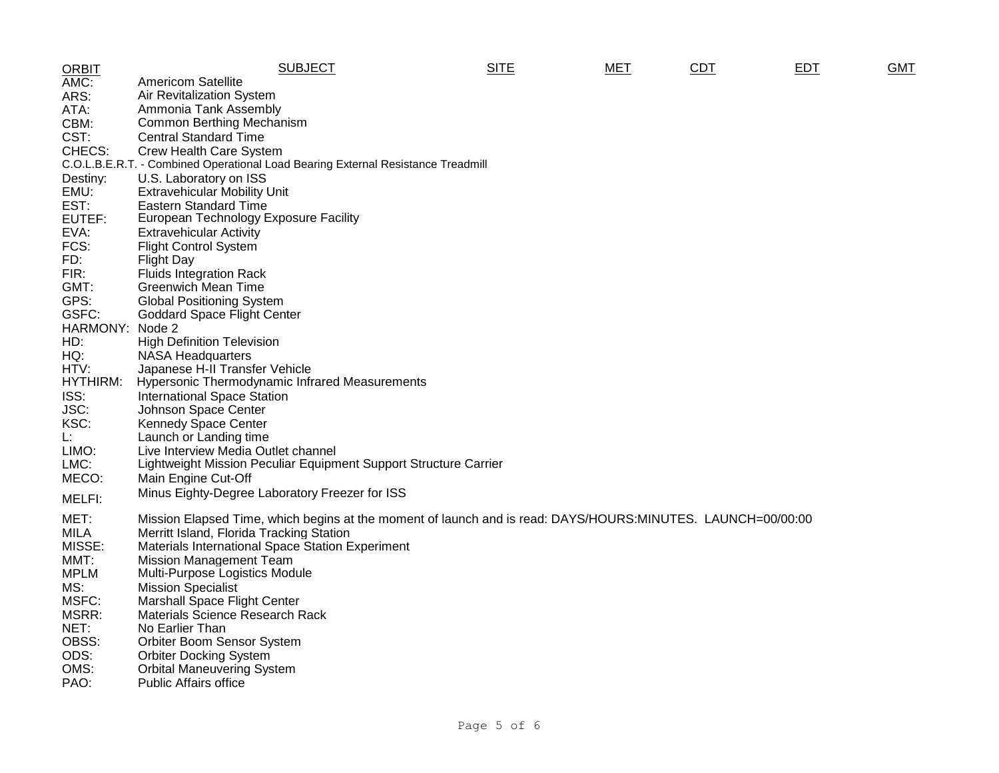| <b>ORBIT</b> | <b>SUBJECT</b>                                                                                              | <b>SITE</b> | MET | CDT | <b>EDT</b> | <b>GMT</b> |
|--------------|-------------------------------------------------------------------------------------------------------------|-------------|-----|-----|------------|------------|
| AMC:         | <b>Americom Satellite</b>                                                                                   |             |     |     |            |            |
| ARS:         | Air Revitalization System                                                                                   |             |     |     |            |            |
| ATA:         | Ammonia Tank Assembly                                                                                       |             |     |     |            |            |
| CBM:         | Common Berthing Mechanism                                                                                   |             |     |     |            |            |
| CST:         | <b>Central Standard Time</b>                                                                                |             |     |     |            |            |
| CHECS:       | Crew Health Care System                                                                                     |             |     |     |            |            |
|              | C.O.L.B.E.R.T. - Combined Operational Load Bearing External Resistance Treadmill                            |             |     |     |            |            |
| Destiny:     | U.S. Laboratory on ISS                                                                                      |             |     |     |            |            |
| EMU:         | <b>Extravehicular Mobility Unit</b>                                                                         |             |     |     |            |            |
| EST:         | <b>Eastern Standard Time</b>                                                                                |             |     |     |            |            |
| EUTEF:       | European Technology Exposure Facility                                                                       |             |     |     |            |            |
| EVA:         | <b>Extravehicular Activity</b>                                                                              |             |     |     |            |            |
| FCS:         | <b>Flight Control System</b>                                                                                |             |     |     |            |            |
| FD:          | <b>Flight Day</b>                                                                                           |             |     |     |            |            |
| FIR:         | <b>Fluids Integration Rack</b>                                                                              |             |     |     |            |            |
| GMT:         | <b>Greenwich Mean Time</b>                                                                                  |             |     |     |            |            |
| GPS:         | <b>Global Positioning System</b>                                                                            |             |     |     |            |            |
| GSFC:        | <b>Goddard Space Flight Center</b>                                                                          |             |     |     |            |            |
| HARMONY:     | Node 2                                                                                                      |             |     |     |            |            |
| HD:          | <b>High Definition Television</b>                                                                           |             |     |     |            |            |
| HQ:          | <b>NASA Headquarters</b>                                                                                    |             |     |     |            |            |
| HTV:         | Japanese H-II Transfer Vehicle                                                                              |             |     |     |            |            |
| HYTHIRM:     | <b>Hypersonic Thermodynamic Infrared Measurements</b>                                                       |             |     |     |            |            |
| ISS:         | <b>International Space Station</b>                                                                          |             |     |     |            |            |
| JSC:         | Johnson Space Center                                                                                        |             |     |     |            |            |
| KSC:         | <b>Kennedy Space Center</b>                                                                                 |             |     |     |            |            |
| Ŀ.           | Launch or Landing time                                                                                      |             |     |     |            |            |
| LIMO:        | Live Interview Media Outlet channel                                                                         |             |     |     |            |            |
| LMC:         | Lightweight Mission Peculiar Equipment Support Structure Carrier                                            |             |     |     |            |            |
| MECO:        | Main Engine Cut-Off                                                                                         |             |     |     |            |            |
| MELFI:       | Minus Eighty-Degree Laboratory Freezer for ISS                                                              |             |     |     |            |            |
|              |                                                                                                             |             |     |     |            |            |
| MET:         | Mission Elapsed Time, which begins at the moment of launch and is read: DAYS/HOURS:MINUTES. LAUNCH=00/00:00 |             |     |     |            |            |
| <b>MILA</b>  | Merritt Island, Florida Tracking Station                                                                    |             |     |     |            |            |
| MISSE:       | Materials International Space Station Experiment                                                            |             |     |     |            |            |
| MMT:         | <b>Mission Management Team</b>                                                                              |             |     |     |            |            |
| <b>MPLM</b>  | Multi-Purpose Logistics Module                                                                              |             |     |     |            |            |
| MS:          | <b>Mission Specialist</b>                                                                                   |             |     |     |            |            |
| MSFC:        | <b>Marshall Space Flight Center</b>                                                                         |             |     |     |            |            |
| MSRR:        | Materials Science Research Rack                                                                             |             |     |     |            |            |
| NET:         | No Earlier Than                                                                                             |             |     |     |            |            |
| OBSS:        | Orbiter Boom Sensor System                                                                                  |             |     |     |            |            |
| ODS:         | <b>Orbiter Docking System</b>                                                                               |             |     |     |            |            |
| OMS:         | <b>Orbital Maneuvering System</b>                                                                           |             |     |     |            |            |
| PAO:         | <b>Public Affairs office</b>                                                                                |             |     |     |            |            |